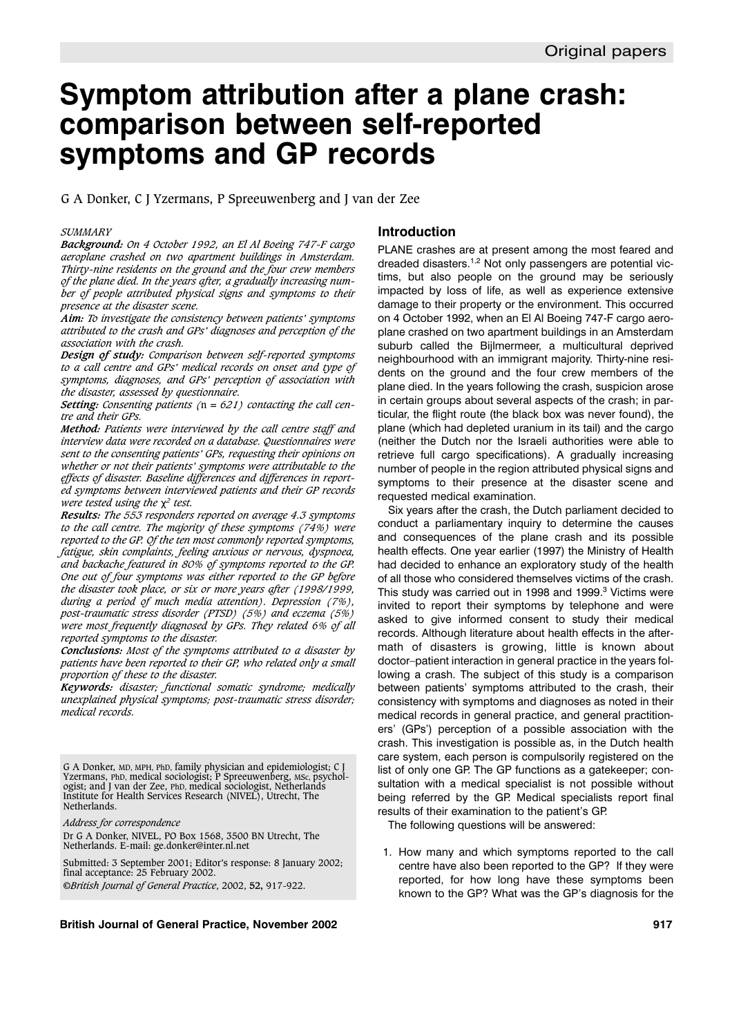# **Symptom attribution after a plane crash: comparison between self-reported symptoms and GP records**

G A Donker, C J Yzermans, P Spreeuwenberg and J van der Zee

#### *SUMMARY*

*Background: On 4 October 1992, an El Al Boeing 747-F cargo aeroplane crashed on two apartment buildings in Amsterdam. Thirty-nine residents on the ground and the four crew members of the plane died. In the years after, a gradually increasing number of people attributed physical signs and symptoms to their presence at the disaster scene.*

*Aim: To investigate the consistency between patients' symptoms attributed to the crash and GPs' diagnoses and perception of the association with the crash.*

*Design of study: Comparison between self-reported symptoms to a call centre and GPs' medical records on onset and type of symptoms, diagnoses, and GPs' perception of association with the disaster, assessed by questionnaire.*

*Setting: Consenting patients (*n *= 621) contacting the call centre and their GPs.*

*Method: Patients were interviewed by the call centre staff and interview data were recorded on a database. Questionnaires were sent to the consenting patients' GPs, requesting their opinions on whether or not their patients' symptoms were attributable to the effects of disaster. Baseline differences and differences in reported symptoms between interviewed patients and their GP records were tested using the* χ*<sup>2</sup> test.*

*Results: The 553 responders reported on average 4.3 symptoms to the call centre. The majority of these symptoms (74%) were reported to the GP. Of the ten most commonly reported symptoms, fatigue, skin complaints, feeling anxious or nervous, dyspnoea, and backache featured in 80% of symptoms reported to the GP. One out of four symptoms was either reported to the GP before the disaster took place, or six or more years after (1998/1999, during a period of much media attention). Depression (7%), post-traumatic stress disorder (PTSD) (5%) and eczema (5%) were most frequently diagnosed by GPs. They related 6% of all reported symptoms to the disaster.*

*Conclusions: Most of the symptoms attributed to a disaster by patients have been reported to their GP, who related only a small proportion of these to the disaster.*

*Keywords: disaster; functional somatic syndrome; medically unexplained physical symptoms; post-traumatic stress disorder; medical records.*

G A Donker, MD, MPH, PhD, family physician and epidemiologist; C J Yzermans, PhD, medical sociologist; P Spreeuwenberg, MSc, psychologist; and J van der Zee, PhD, medical sociologist, Netherlands Institute for Health Services Research (NIVEL), Utrecht, The Netherlands.

*Address for correspondence*

Dr G A Donker, NIVEL, PO Box 1568, 3500 BN Utrecht, The Netherlands. E-mail: ge.donker@inter.nl.net

Submitted: 3 September 2001; Editor's response: 8 January 2002; final acceptance: 25 February 2002. ©*British Journal of General Practice*, 2002, **52,** 917-922.

#### **British Journal of General Practice, November 2002 917**

#### **Introduction**

PLANE crashes are at present among the most feared and dreaded disasters.<sup>1,2</sup> Not only passengers are potential victims, but also people on the ground may be seriously impacted by loss of life, as well as experience extensive damage to their property or the environment. This occurred on 4 October 1992, when an El Al Boeing 747-F cargo aeroplane crashed on two apartment buildings in an Amsterdam suburb called the Bijlmermeer, a multicultural deprived neighbourhood with an immigrant majority. Thirty-nine residents on the ground and the four crew members of the plane died. In the years following the crash, suspicion arose in certain groups about several aspects of the crash; in particular, the flight route (the black box was never found), the plane (which had depleted uranium in its tail) and the cargo (neither the Dutch nor the Israeli authorities were able to retrieve full cargo specifications). A gradually increasing number of people in the region attributed physical signs and symptoms to their presence at the disaster scene and requested medical examination.

Six years after the crash, the Dutch parliament decided to conduct a parliamentary inquiry to determine the causes and consequences of the plane crash and its possible health effects. One year earlier (1997) the Ministry of Health had decided to enhance an exploratory study of the health of all those who considered themselves victims of the crash. This study was carried out in 1998 and 1999.<sup>3</sup> Victims were invited to report their symptoms by telephone and were asked to give informed consent to study their medical records. Although literature about health effects in the aftermath of disasters is growing, little is known about doctor–patient interaction in general practice in the years following a crash. The subject of this study is a comparison between patients' symptoms attributed to the crash, their consistency with symptoms and diagnoses as noted in their medical records in general practice, and general practitioners' (GPs') perception of a possible association with the crash. This investigation is possible as, in the Dutch health care system, each person is compulsorily registered on the list of only one GP. The GP functions as a gatekeeper; consultation with a medical specialist is not possible without being referred by the GP. Medical specialists report final results of their examination to the patient's GP.

The following questions will be answered:

1. How many and which symptoms reported to the call centre have also been reported to the GP? If they were reported, for how long have these symptoms been known to the GP? What was the GP's diagnosis for the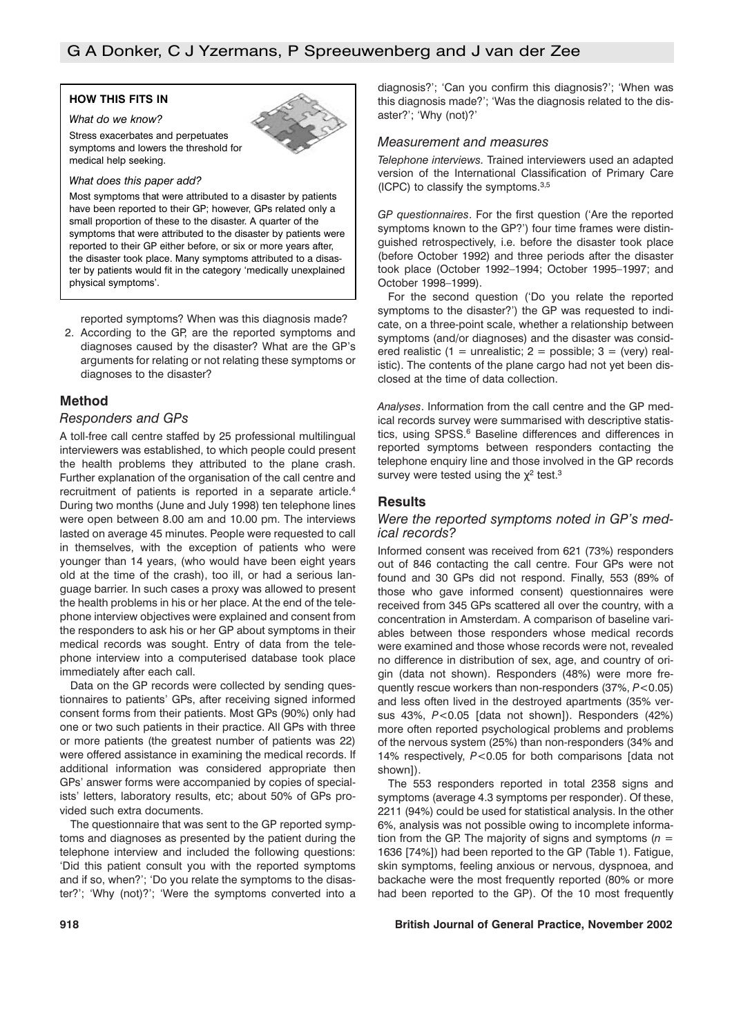## **HOW THIS FITS IN**

# *What do we know?*

Stress exacerbates and perpetuates symptoms and lowers the threshold for medical help seeking.

#### *What does this paper add?*

Most symptoms that were attributed to a disaster by patients have been reported to their GP; however, GPs related only a small proportion of these to the disaster. A quarter of the symptoms that were attributed to the disaster by patients were reported to their GP either before, or six or more years after, the disaster took place. Many symptoms attributed to a disaster by patients would fit in the category 'medically unexplained physical symptoms'.

reported symptoms? When was this diagnosis made?

2. According to the GP, are the reported symptoms and diagnoses caused by the disaster? What are the GP's arguments for relating or not relating these symptoms or diagnoses to the disaster?

# **Method**

## *Responders and GPs*

A toll-free call centre staffed by 25 professional multilingual interviewers was established, to which people could present the health problems they attributed to the plane crash. Further explanation of the organisation of the call centre and recruitment of patients is reported in a separate article.<sup>4</sup> During two months (June and July 1998) ten telephone lines were open between 8.00 am and 10.00 pm. The interviews lasted on average 45 minutes. People were requested to call in themselves, with the exception of patients who were younger than 14 years, (who would have been eight years old at the time of the crash), too ill, or had a serious language barrier. In such cases a proxy was allowed to present the health problems in his or her place. At the end of the telephone interview objectives were explained and consent from the responders to ask his or her GP about symptoms in their medical records was sought. Entry of data from the telephone interview into a computerised database took place immediately after each call.

Data on the GP records were collected by sending questionnaires to patients' GPs, after receiving signed informed consent forms from their patients. Most GPs (90%) only had one or two such patients in their practice. All GPs with three or more patients (the greatest number of patients was 22) were offered assistance in examining the medical records. If additional information was considered appropriate then GPs' answer forms were accompanied by copies of specialists' letters, laboratory results, etc; about 50% of GPs provided such extra documents.

The questionnaire that was sent to the GP reported symptoms and diagnoses as presented by the patient during the telephone interview and included the following questions: 'Did this patient consult you with the reported symptoms and if so, when?'; 'Do you relate the symptoms to the disaster?'; 'Why (not)?'; 'Were the symptoms converted into a diagnosis?'; 'Can you confirm this diagnosis?'; 'When was this diagnosis made?'; 'Was the diagnosis related to the disaster?'; 'Why (not)?'

## *Measurement and measures*

*Telephone interviews.* Trained interviewers used an adapted version of the International Classification of Primary Care (ICPC) to classify the symptoms.3,5

*GP questionnaires*. For the first question ('Are the reported symptoms known to the GP?') four time frames were distinguished retrospectively, i.e. before the disaster took place (before October 1992) and three periods after the disaster took place (October 1992–1994; October 1995–1997; and October 1998–1999).

For the second question ('Do you relate the reported symptoms to the disaster?') the GP was requested to indicate, on a three-point scale, whether a relationship between symptoms (and/or diagnoses) and the disaster was considered realistic (1 = unrealistic; 2 = possible; 3 = (very) realistic). The contents of the plane cargo had not yet been disclosed at the time of data collection.

*Analyses*. Information from the call centre and the GP medical records survey were summarised with descriptive statistics, using SPSS.<sup>6</sup> Baseline differences and differences in reported symptoms between responders contacting the telephone enquiry line and those involved in the GP records survey were tested using the  $\chi^2$  test.<sup>3</sup>

#### **Results**

## *Were the reported symptoms noted in GP's medical records?*

Informed consent was received from 621 (73%) responders out of 846 contacting the call centre. Four GPs were not found and 30 GPs did not respond. Finally, 553 (89% of those who gave informed consent) questionnaires were received from 345 GPs scattered all over the country, with a concentration in Amsterdam. A comparison of baseline variables between those responders whose medical records were examined and those whose records were not, revealed no difference in distribution of sex, age, and country of origin (data not shown). Responders (48%) were more frequently rescue workers than non-responders (37%, *P*<0.05) and less often lived in the destroyed apartments (35% versus 43%, *P*<0.05 [data not shown]). Responders (42%) more often reported psychological problems and problems of the nervous system (25%) than non-responders (34% and 14% respectively, *P*<0.05 for both comparisons [data not shown]).

The 553 responders reported in total 2358 signs and symptoms (average 4.3 symptoms per responder). Of these, 2211 (94%) could be used for statistical analysis. In the other 6%, analysis was not possible owing to incomplete information from the GP. The majority of signs and symptoms  $(n =$ 1636 [74%]) had been reported to the GP (Table 1). Fatigue, skin symptoms, feeling anxious or nervous, dyspnoea, and backache were the most frequently reported (80% or more had been reported to the GP). Of the 10 most frequently

#### **918 British Journal of General Practice, November 2002**

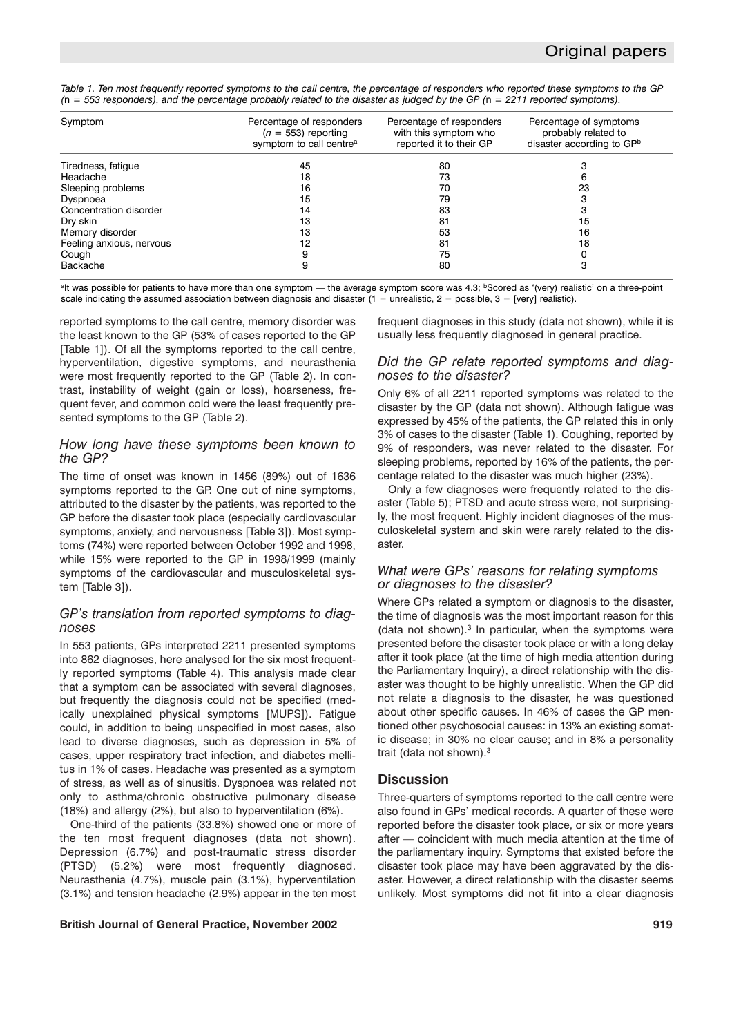*Table 1. Ten most frequently reported symptoms to the call centre, the percentage of responders who reported these symptoms to the GP (*n *= 553 responders), and the percentage probably related to the disaster as judged by the GP (*n *= 2211 reported symptoms).*

| Symptom                  | Percentage of responders<br>$(n = 553)$ reporting<br>symptom to call centre <sup>a</sup> | Percentage of responders<br>with this symptom who<br>reported it to their GP | Percentage of symptoms<br>probably related to<br>disaster according to GPb |
|--------------------------|------------------------------------------------------------------------------------------|------------------------------------------------------------------------------|----------------------------------------------------------------------------|
| Tiredness, fatigue       | 45                                                                                       | 80                                                                           |                                                                            |
| Headache                 | 18                                                                                       | 73                                                                           |                                                                            |
| Sleeping problems        | 16                                                                                       | 70                                                                           | 23                                                                         |
| Dyspnoea                 | 15                                                                                       | 79                                                                           |                                                                            |
| Concentration disorder   | 14                                                                                       | 83                                                                           |                                                                            |
| Dry skin                 | 13                                                                                       | 81                                                                           | 15                                                                         |
| Memory disorder          | 13                                                                                       | 53                                                                           | 16                                                                         |
| Feeling anxious, nervous | 12                                                                                       | 81                                                                           | 18                                                                         |
| Cough                    |                                                                                          | 75                                                                           |                                                                            |
| Backache                 |                                                                                          | 80                                                                           |                                                                            |

<sup>a</sup>lt was possible for patients to have more than one symptom — the average symptom score was 4.3; <sup>b</sup>Scored as '(very) realistic' on a three-point scale indicating the assumed association between diagnosis and disaster  $(1 =$  unrealistic,  $2 =$  possible,  $3 =$  [very] realistic).

reported symptoms to the call centre, memory disorder was the least known to the GP (53% of cases reported to the GP [Table 1]). Of all the symptoms reported to the call centre, hyperventilation, digestive symptoms, and neurasthenia were most frequently reported to the GP (Table 2). In contrast, instability of weight (gain or loss), hoarseness, frequent fever, and common cold were the least frequently presented symptoms to the GP (Table 2).

## *How long have these symptoms been known to the GP?*

The time of onset was known in 1456 (89%) out of 1636 symptoms reported to the GP. One out of nine symptoms, attributed to the disaster by the patients, was reported to the GP before the disaster took place (especially cardiovascular symptoms, anxiety, and nervousness [Table 3]). Most symptoms (74%) were reported between October 1992 and 1998, while 15% were reported to the GP in 1998/1999 (mainly symptoms of the cardiovascular and musculoskeletal system [Table 31).

# *GP's translation from reported symptoms to diagnoses*

In 553 patients, GPs interpreted 2211 presented symptoms into 862 diagnoses, here analysed for the six most frequently reported symptoms (Table 4). This analysis made clear that a symptom can be associated with several diagnoses, but frequently the diagnosis could not be specified (medically unexplained physical symptoms [MUPS]). Fatigue could, in addition to being unspecified in most cases, also lead to diverse diagnoses, such as depression in 5% of cases, upper respiratory tract infection, and diabetes mellitus in 1% of cases. Headache was presented as a symptom of stress, as well as of sinusitis. Dyspnoea was related not only to asthma/chronic obstructive pulmonary disease (18%) and allergy (2%), but also to hyperventilation (6%).

One-third of the patients (33.8%) showed one or more of the ten most frequent diagnoses (data not shown). Depression (6.7%) and post-traumatic stress disorder (PTSD) (5.2%) were most frequently diagnosed. Neurasthenia (4.7%), muscle pain (3.1%), hyperventilation (3.1%) and tension headache (2.9%) appear in the ten most

## **British Journal of General Practice, November 2002 919**

frequent diagnoses in this study (data not shown), while it is usually less frequently diagnosed in general practice.

## *Did the GP relate reported symptoms and diagnoses to the disaster?*

Only 6% of all 2211 reported symptoms was related to the disaster by the GP (data not shown). Although fatigue was expressed by 45% of the patients, the GP related this in only 3% of cases to the disaster (Table 1). Coughing, reported by 9% of responders, was never related to the disaster. For sleeping problems, reported by 16% of the patients, the percentage related to the disaster was much higher (23%).

Only a few diagnoses were frequently related to the disaster (Table 5); PTSD and acute stress were, not surprisingly, the most frequent. Highly incident diagnoses of the musculoskeletal system and skin were rarely related to the disaster.

# *What were GPs' reasons for relating symptoms or diagnoses to the disaster?*

Where GPs related a symptom or diagnosis to the disaster, the time of diagnosis was the most important reason for this (data not shown). $3$  In particular, when the symptoms were presented before the disaster took place or with a long delay after it took place (at the time of high media attention during the Parliamentary Inquiry), a direct relationship with the disaster was thought to be highly unrealistic. When the GP did not relate a diagnosis to the disaster, he was questioned about other specific causes. In 46% of cases the GP mentioned other psychosocial causes: in 13% an existing somatic disease; in 30% no clear cause; and in 8% a personality trait (data not shown).3

# **Discussion**

Three-quarters of symptoms reported to the call centre were also found in GPs' medical records. A quarter of these were reported before the disaster took place, or six or more years after — coincident with much media attention at the time of the parliamentary inquiry. Symptoms that existed before the disaster took place may have been aggravated by the disaster. However, a direct relationship with the disaster seems unlikely. Most symptoms did not fit into a clear diagnosis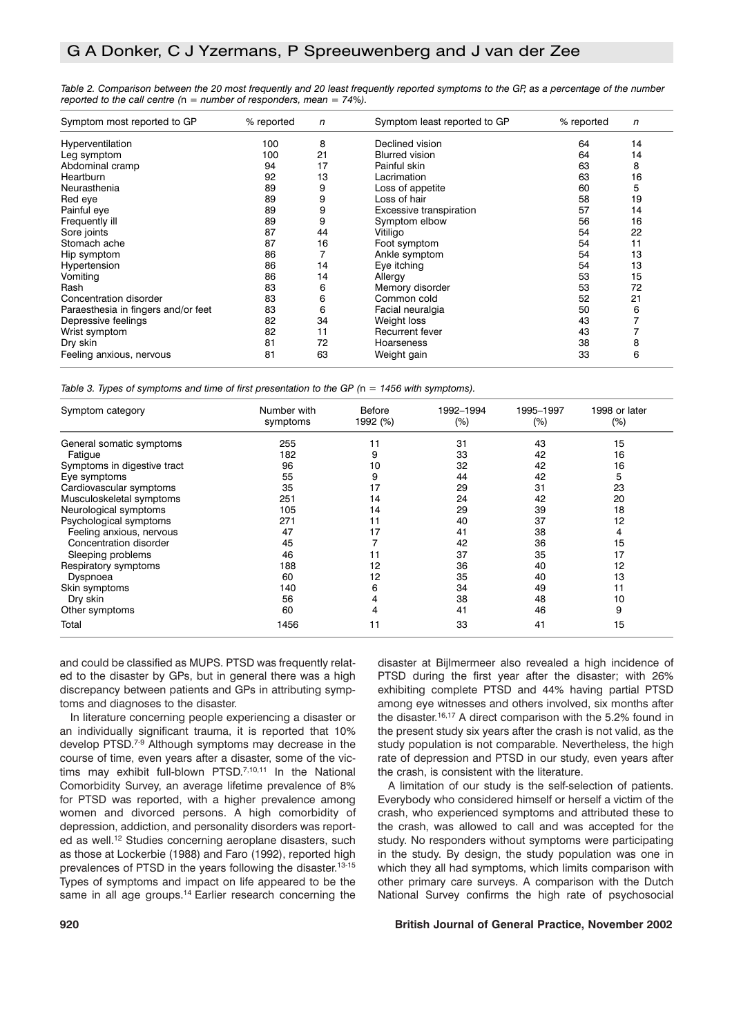| Symptom most reported to GP         | % reported | n  | Symptom least reported to GP | % reported | n  |
|-------------------------------------|------------|----|------------------------------|------------|----|
| Hyperventilation                    | 100        | 8  | Declined vision              | 64         | 14 |
| Leg symptom                         | 100        | 21 | <b>Blurred vision</b>        | 64         | 14 |
| Abdominal cramp                     | 94         | 17 | Painful skin                 | 63         | 8  |
| <b>Heartburn</b>                    | 92         | 13 | Lacrimation                  | 63         | 16 |
| Neurasthenia                        | 89         | 9  | Loss of appetite             | 60         | 5  |
| Red eye                             | 89         | 9  | Loss of hair                 | 58         | 19 |
| Painful eye                         | 89         | 9  | Excessive transpiration      | 57         | 14 |
| Frequently ill                      | 89         | 9  | Symptom elbow                | 56         | 16 |
| Sore joints                         | 87         | 44 | Vitiligo                     | 54         | 22 |
| Stomach ache                        | 87         | 16 | Foot symptom                 | 54         | 11 |
| Hip symptom                         | 86         |    | Ankle symptom                | 54         | 13 |
| Hypertension                        | 86         | 14 | Eye itching                  | 54         | 13 |
| Vomiting                            | 86         | 14 | Allergy                      | 53         | 15 |
| Rash                                | 83         | 6  | Memory disorder              | 53         | 72 |
| Concentration disorder              | 83         | 6  | Common cold                  | 52         | 21 |
| Paraesthesia in fingers and/or feet | 83         | 6  | Facial neuralgia             | 50         | 6  |
| Depressive feelings                 | 82         | 34 | Weight loss                  | 43         |    |
| Wrist symptom                       | 82         | 11 | Recurrent fever              | 43         |    |
| Dry skin                            | 81         | 72 | Hoarseness                   | 38         | 8  |
| Feeling anxious, nervous            | 81         | 63 | Weight gain                  | 33         | 6  |

*Table 2. Comparison between the 20 most frequently and 20 least frequently reported symptoms to the GP, as a percentage of the number reported to the call centre (*n *= number of responders, mean = 74%).*

*Table 3. Types of symptoms and time of first presentation to the GP (*n *= 1456 with symptoms).*

| Symptom category            | Number with | <b>Before</b> | 1992-1994 | 1995-1997 | 1998 or later |
|-----------------------------|-------------|---------------|-----------|-----------|---------------|
|                             | symptoms    | 1992 (%)      | $(\%)$    | (%)       | $(\%)$        |
| General somatic symptoms    | 255         | 11            | 31        | 43        | 15            |
| Fatigue                     | 182         | 9             | 33        | 42        | 16            |
| Symptoms in digestive tract | 96          | 10            | 32        | 42        | 16            |
| Eye symptoms                | 55          | 9             | 44        | 42        | 5             |
| Cardiovascular symptoms     | 35          | 17            | 29        | 31        | 23            |
| Musculoskeletal symptoms    | 251         | 14            | 24        | 42        | 20            |
| Neurological symptoms       | 105         | 14            | 29        | 39        | 18            |
| Psychological symptoms      | 271         | 11            | 40        | 37        | 12            |
| Feeling anxious, nervous    | 47          | 17            | 41        | 38        | 4             |
| Concentration disorder      | 45          | 7             | 42        | 36        | 15            |
| Sleeping problems           | 46          | 11            | 37        | 35        | 17            |
| Respiratory symptoms        | 188         | 12            | 36        | 40        | 12            |
| Dyspnoea                    | 60          | 12            | 35        | 40        | 13            |
| Skin symptoms               | 140         | 6             | 34        | 49        | 11            |
| Dry skin                    | 56          | 4             | 38        | 48        | 10            |
| Other symptoms              | 60          | 4             | 41        | 46        | 9             |
| Total                       | 1456        | 11            | 33        | 41        | 15            |

and could be classified as MUPS. PTSD was frequently related to the disaster by GPs, but in general there was a high discrepancy between patients and GPs in attributing symptoms and diagnoses to the disaster.

In literature concerning people experiencing a disaster or an individually significant trauma, it is reported that 10% develop PTSD.7-9 Although symptoms may decrease in the course of time, even years after a disaster, some of the victims may exhibit full-blown PTSD.<sup>7,10,11</sup> In the National Comorbidity Survey, an average lifetime prevalence of 8% for PTSD was reported, with a higher prevalence among women and divorced persons. A high comorbidity of depression, addiction, and personality disorders was reported as well.12 Studies concerning aeroplane disasters, such as those at Lockerbie (1988) and Faro (1992), reported high prevalences of PTSD in the years following the disaster.<sup>13-15</sup> Types of symptoms and impact on life appeared to be the same in all age groups.<sup>14</sup> Earlier research concerning the

disaster at Bijlmermeer also revealed a high incidence of PTSD during the first year after the disaster; with 26% exhibiting complete PTSD and 44% having partial PTSD among eye witnesses and others involved, six months after the disaster.<sup>16,17</sup> A direct comparison with the 5.2% found in the present study six years after the crash is not valid, as the study population is not comparable. Nevertheless, the high rate of depression and PTSD in our study, even years after the crash, is consistent with the literature.

A limitation of our study is the self-selection of patients. Everybody who considered himself or herself a victim of the crash, who experienced symptoms and attributed these to the crash, was allowed to call and was accepted for the study. No responders without symptoms were participating in the study. By design, the study population was one in which they all had symptoms, which limits comparison with other primary care surveys. A comparison with the Dutch National Survey confirms the high rate of psychosocial

#### **920 British Journal of General Practice, November 2002**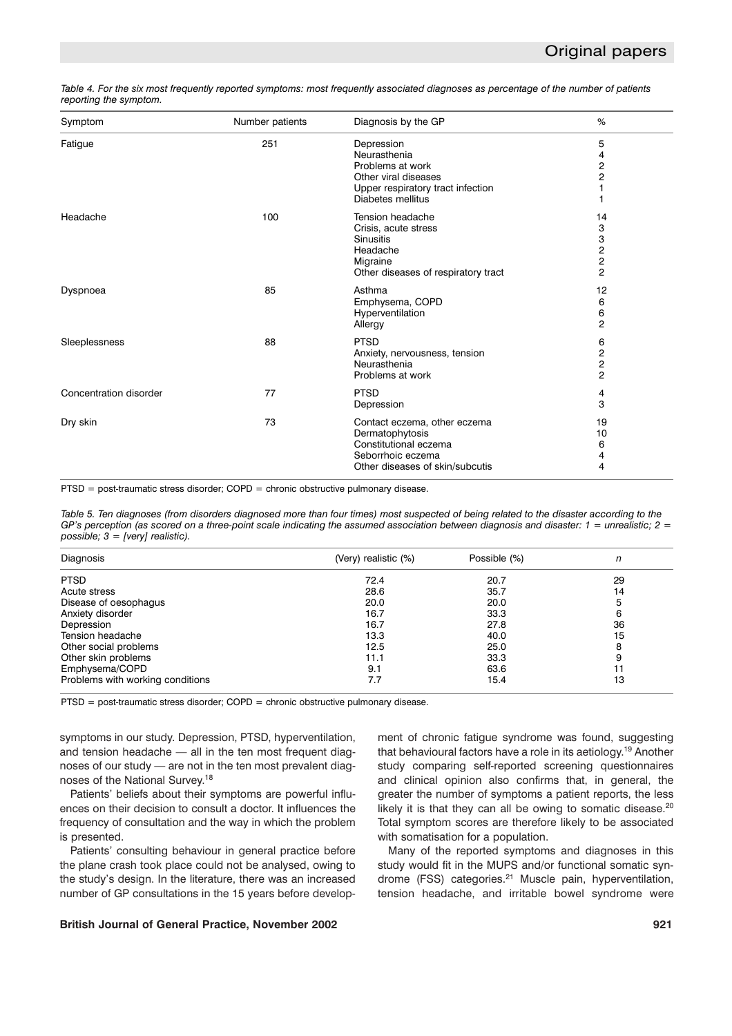| Table 4. For the six most frequently reported symptoms: most frequently associated diagnoses as percentage of the number of patients |  |  |  |
|--------------------------------------------------------------------------------------------------------------------------------------|--|--|--|
| reporting the symptom.                                                                                                               |  |  |  |

| Symptom                | Number patients | Diagnosis by the GP                 | %                       |
|------------------------|-----------------|-------------------------------------|-------------------------|
| Fatigue                | 251             | Depression                          | 5                       |
|                        |                 | Neurasthenia                        | 4                       |
|                        |                 | Problems at work                    | 2                       |
|                        |                 | Other viral diseases                | 2                       |
|                        |                 | Upper respiratory tract infection   |                         |
|                        |                 | Diabetes mellitus                   |                         |
| Headache               | 100             | Tension headache                    | 14                      |
|                        |                 | Crisis, acute stress                | 3                       |
|                        |                 | <b>Sinusitis</b>                    | 3                       |
|                        |                 | Headache                            | $\overline{\mathbf{c}}$ |
|                        |                 | Migraine                            | $\mathbf 2$             |
|                        |                 | Other diseases of respiratory tract | $\overline{2}$          |
| Dyspnoea               | 85              | Asthma                              | 12                      |
|                        |                 | Emphysema, COPD                     | 6                       |
|                        |                 | Hyperventilation                    | 6                       |
|                        |                 | Allergy                             | $\overline{2}$          |
| Sleeplessness          | 88              | <b>PTSD</b>                         | 6                       |
|                        |                 | Anxiety, nervousness, tension       | $\overline{\mathbf{c}}$ |
|                        |                 | Neurasthenia                        | $\mathbf 2$             |
|                        |                 | Problems at work                    | $\overline{2}$          |
| Concentration disorder | 77              | <b>PTSD</b>                         | 4                       |
|                        |                 | Depression                          | 3                       |
| Dry skin               | 73              | Contact eczema, other eczema        | 19                      |
|                        |                 | Dermatophytosis                     | 10                      |
|                        |                 | Constitutional eczema               | 6                       |
|                        |                 | Seborrhoic eczema                   | 4                       |
|                        |                 | Other diseases of skin/subcutis     | 4                       |

PTSD = post-traumatic stress disorder; COPD = chronic obstructive pulmonary disease.

*Table 5. Ten diagnoses (from disorders diagnosed more than four times) most suspected of being related to the disaster according to the GP's perception (as scored on a three-point scale indicating the assumed association between diagnosis and disaster: 1 = unrealistic; 2 = possible; 3 = [very] realistic).*

| Diagnosis                        | (Very) realistic (%) | Possible (%) | n  |
|----------------------------------|----------------------|--------------|----|
| <b>PTSD</b>                      | 72.4                 | 20.7         | 29 |
| Acute stress                     | 28.6                 | 35.7         | 14 |
| Disease of oesophagus            | 20.0                 | 20.0         |    |
| Anxiety disorder                 | 16.7                 | 33.3         | 6  |
| Depression                       | 16.7                 | 27.8         | 36 |
| Tension headache                 | 13.3                 | 40.0         | 15 |
| Other social problems            | 12.5                 | 25.0         | 8  |
| Other skin problems              | 11.1                 | 33.3         | 9  |
| Emphysema/COPD                   | 9.1                  | 63.6         | 11 |
| Problems with working conditions | 7.7                  | 15.4         | 13 |

PTSD = post-traumatic stress disorder; COPD = chronic obstructive pulmonary disease.

symptoms in our study. Depression, PTSD, hyperventilation, and tension headache — all in the ten most frequent diagnoses of our study — are not in the ten most prevalent diagnoses of the National Survey.18

Patients' beliefs about their symptoms are powerful influences on their decision to consult a doctor. It influences the frequency of consultation and the way in which the problem is presented.

Patients' consulting behaviour in general practice before the plane crash took place could not be analysed, owing to the study's design. In the literature, there was an increased number of GP consultations in the 15 years before develop-

#### **British Journal of General Practice, November 2002 921**

ment of chronic fatigue syndrome was found, suggesting that behavioural factors have a role in its aetiology.19 Another study comparing self-reported screening questionnaires and clinical opinion also confirms that, in general, the greater the number of symptoms a patient reports, the less likely it is that they can all be owing to somatic disease.<sup>20</sup> Total symptom scores are therefore likely to be associated with somatisation for a population.

Many of the reported symptoms and diagnoses in this study would fit in the MUPS and/or functional somatic syndrome (FSS) categories.<sup>21</sup> Muscle pain, hyperventilation, tension headache, and irritable bowel syndrome were